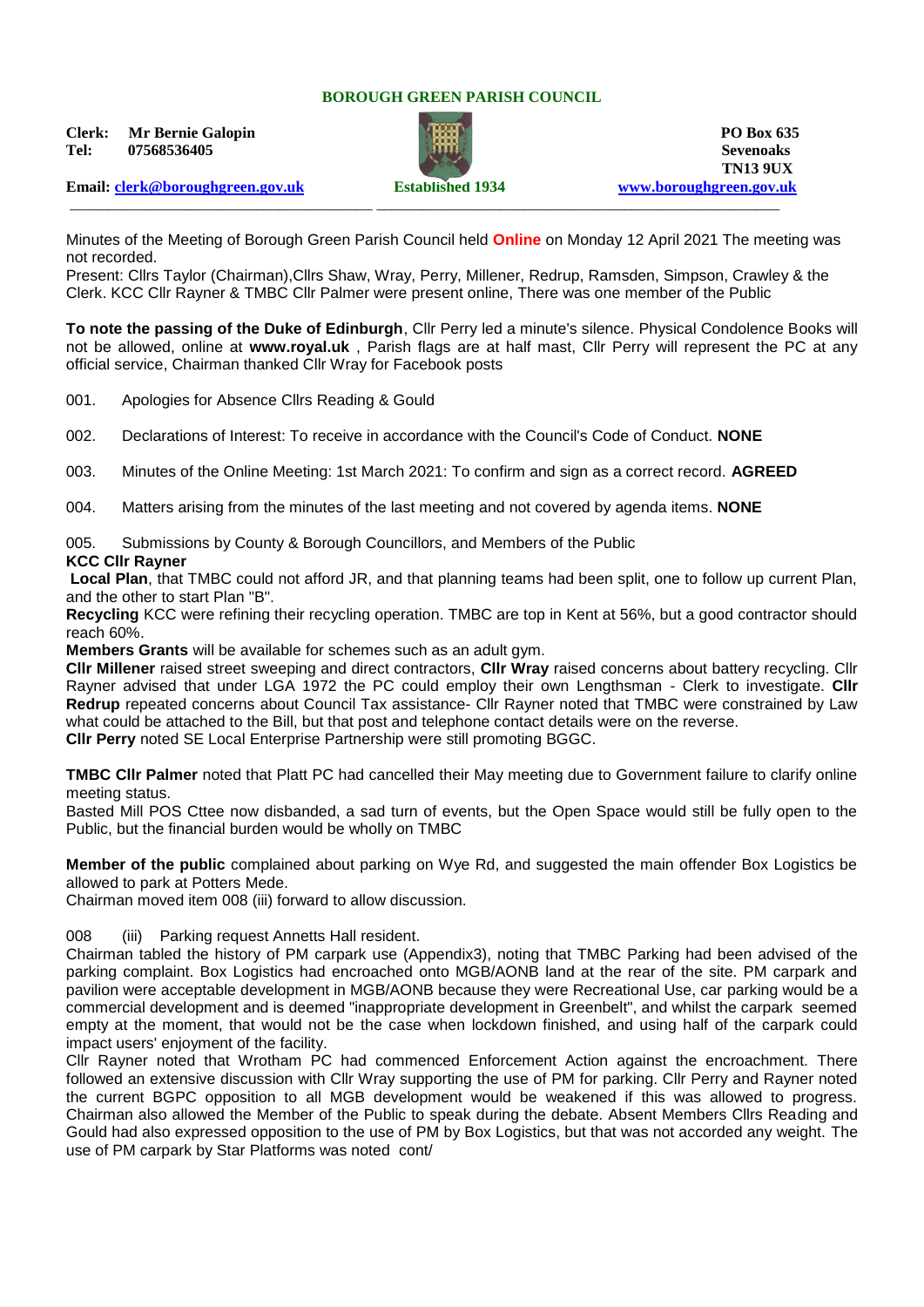## **BOROUGH GREEN PARISH COUNCIL**

**Clerk: Mr Bernie Galopin PO Box 635 Tel: 07568536405 Sevenoaks**



**TN13 9UX** \_\_\_\_\_\_\_\_\_\_\_\_\_\_\_\_\_\_\_\_\_\_\_\_\_\_\_\_\_\_\_\_\_\_\_\_\_\_\_ \_\_\_\_\_\_\_\_\_\_\_\_\_\_\_\_\_\_\_\_\_\_\_\_\_\_\_\_\_\_\_\_\_\_\_\_\_\_\_\_\_\_\_\_\_\_\_\_\_\_\_\_

**Email: [clerk@boroughgreen.gov.uk](mailto:clerk@boroughgreen.gov.uk) Established 1934 [www.boroughgreen.gov.uk](http://www.boroughgreen.gov.uk/)**

Minutes of the Meeting of Borough Green Parish Council held **Online** on Monday 12 April 2021 The meeting was not recorded.

Present: Cllrs Taylor (Chairman),Cllrs Shaw, Wray, Perry, Millener, Redrup, Ramsden, Simpson, Crawley & the Clerk. KCC Cllr Rayner & TMBC Cllr Palmer were present online, There was one member of the Public

**To note the passing of the Duke of Edinburgh**, Cllr Perry led a minute's silence. Physical Condolence Books will not be allowed, online at **www.royal.uk** , Parish flags are at half mast, Cllr Perry will represent the PC at any official service, Chairman thanked Cllr Wray for Facebook posts

001. Apologies for Absence Cllrs Reading & Gould

002. Declarations of Interest: To receive in accordance with the Council's Code of Conduct. **NONE**

003. Minutes of the Online Meeting: 1st March 2021: To confirm and sign as a correct record. **AGREED**

004. Matters arising from the minutes of the last meeting and not covered by agenda items. **NONE**

005. Submissions by County & Borough Councillors, and Members of the Public

#### **KCC Cllr Rayner**

**Local Plan**, that TMBC could not afford JR, and that planning teams had been split, one to follow up current Plan, and the other to start Plan "B".

**Recycling** KCC were refining their recycling operation. TMBC are top in Kent at 56%, but a good contractor should reach 60%.

**Members Grants** will be available for schemes such as an adult gym.

**Cllr Millener** raised street sweeping and direct contractors, **Cllr Wray** raised concerns about battery recycling. Cllr Rayner advised that under LGA 1972 the PC could employ their own Lengthsman - Clerk to investigate. **Cllr Redrup** repeated concerns about Council Tax assistance- Cllr Rayner noted that TMBC were constrained by Law what could be attached to the Bill, but that post and telephone contact details were on the reverse. **Cllr Perry** noted SE Local Enterprise Partnership were still promoting BGGC.

**TMBC Cllr Palmer** noted that Platt PC had cancelled their May meeting due to Government failure to clarify online meeting status.

Basted Mill POS Cttee now disbanded, a sad turn of events, but the Open Space would still be fully open to the Public, but the financial burden would be wholly on TMBC

**Member of the public** complained about parking on Wye Rd, and suggested the main offender Box Logistics be allowed to park at Potters Mede.

Chairman moved item 008 (iii) forward to allow discussion.

008 (iii) Parking request Annetts Hall resident.

Chairman tabled the history of PM carpark use (Appendix3), noting that TMBC Parking had been advised of the parking complaint. Box Logistics had encroached onto MGB/AONB land at the rear of the site. PM carpark and pavilion were acceptable development in MGB/AONB because they were Recreational Use, car parking would be a commercial development and is deemed "inappropriate development in Greenbelt", and whilst the carpark seemed empty at the moment, that would not be the case when lockdown finished, and using half of the carpark could impact users' enjoyment of the facility.

Cllr Rayner noted that Wrotham PC had commenced Enforcement Action against the encroachment. There followed an extensive discussion with Cllr Wray supporting the use of PM for parking. Cllr Perry and Rayner noted the current BGPC opposition to all MGB development would be weakened if this was allowed to progress. Chairman also allowed the Member of the Public to speak during the debate. Absent Members Cllrs Reading and Gould had also expressed opposition to the use of PM by Box Logistics, but that was not accorded any weight. The use of PM carpark by Star Platforms was noted cont/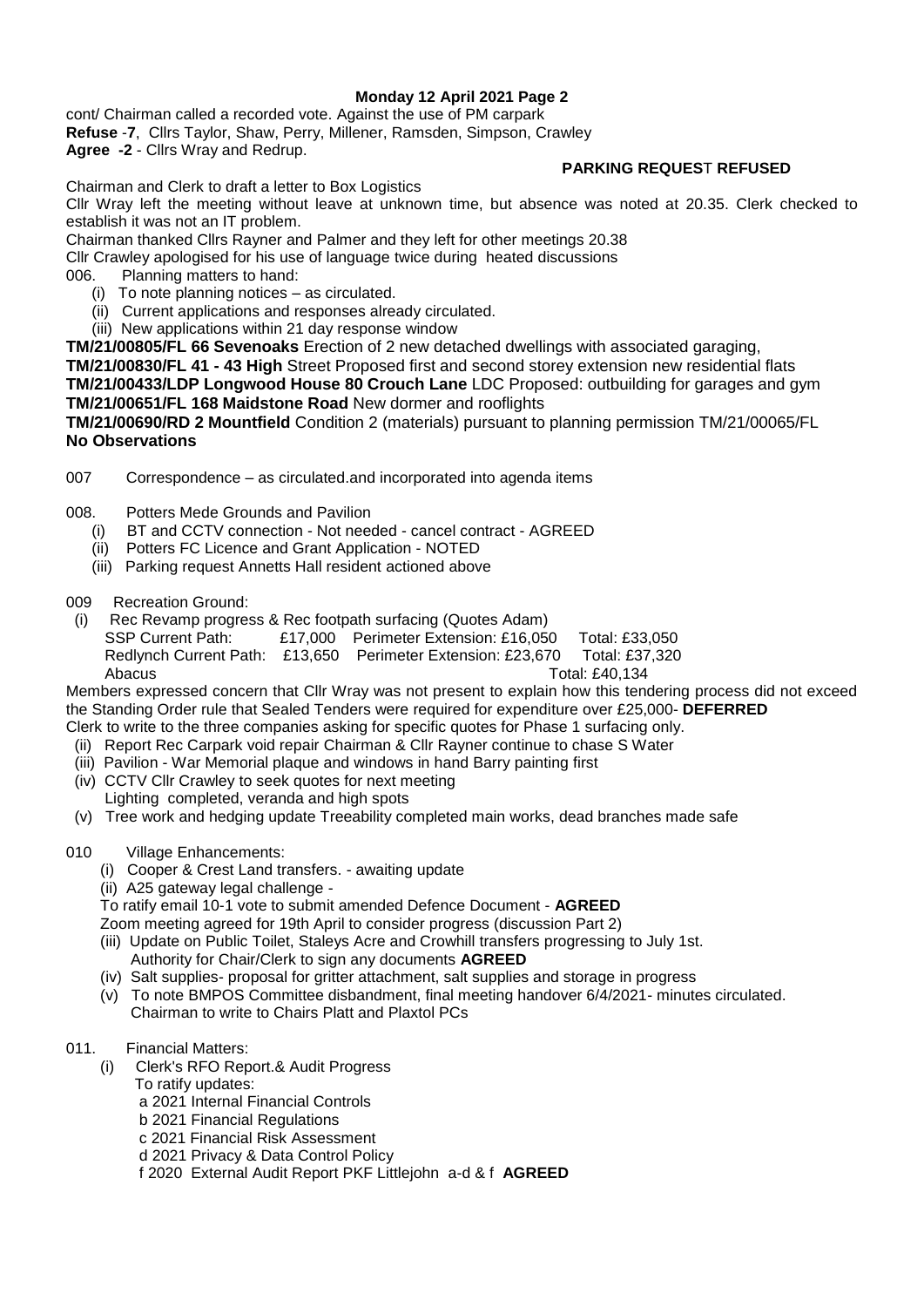## **Monday 12 April 2021 Page 2**

cont/ Chairman called a recorded vote. Against the use of PM carpark **Refuse** -**7**, Cllrs Taylor, Shaw, Perry, Millener, Ramsden, Simpson, Crawley

**Agree -2** - Cllrs Wray and Redrup.

## **PARKING REQUES**T **REFUSED**

Chairman and Clerk to draft a letter to Box Logistics

Cllr Wray left the meeting without leave at unknown time, but absence was noted at 20.35. Clerk checked to establish it was not an IT problem.

Chairman thanked Cllrs Rayner and Palmer and they left for other meetings 20.38

Cllr Crawley apologised for his use of language twice during heated discussions

006. Planning matters to hand:

- (i) To note planning notices as circulated.
- (ii) Current applications and responses already circulated.
- (iii) New applications within 21 day response window

**TM/21/00805/FL 66 Sevenoaks** Erection of 2 new detached dwellings with associated garaging,

**TM/21/00830/FL 41 - 43 High** Street Proposed first and second storey extension new residential flats **TM/21/00433/LDP Longwood House 80 Crouch Lane** LDC Proposed: outbuilding for garages and gym **TM/21/00651/FL 168 Maidstone Road** New dormer and rooflights

**TM/21/00690/RD 2 Mountfield** Condition 2 (materials) pursuant to planning permission TM/21/00065/FL **No Observations**

007 Correspondence – as circulated.and incorporated into agenda items

- 008. Potters Mede Grounds and Pavilion
	- (i) BT and CCTV connection Not needed cancel contract AGREED
- (ii) Potters FC Licence and Grant Application NOTED
- (iii) Parking request Annetts Hall resident actioned above
- 009 Recreation Ground:
- (i) Rec Revamp progress & Rec footpath surfacing (Quotes Adam) SSP Current Path: £17,000 Perimeter Extension: £16,050 Total: £33,050 Redlynch Current Path: £13,650 Perimeter Extension: £23,670 Total: £37,320 Abacus Total: £40,134

Members expressed concern that Cllr Wray was not present to explain how this tendering process did not exceed the Standing Order rule that Sealed Tenders were required for expenditure over £25,000- **DEFERRED** Clerk to write to the three companies asking for specific quotes for Phase 1 surfacing only.

- (ii) Report Rec Carpark void repair Chairman & Cllr Rayner continue to chase S Water
- (iii) Pavilion War Memorial plaque and windows in hand Barry painting first
- (iv) CCTV Cllr Crawley to seek quotes for next meeting Lighting completed, veranda and high spots
- (v) Tree work and hedging update Treeability completed main works, dead branches made safe
- 010 Village Enhancements:
	- (i) Cooper & Crest Land transfers. awaiting update
	- (ii) A25 gateway legal challenge -

To ratify email 10-1 vote to submit amended Defence Document - **AGREED**

Zoom meeting agreed for 19th April to consider progress (discussion Part 2)

- (iii) Update on Public Toilet, Staleys Acre and Crowhill transfers progressing to July 1st. Authority for Chair/Clerk to sign any documents **AGREED**
- (iv) Salt supplies- proposal for gritter attachment, salt supplies and storage in progress
- (v) To note BMPOS Committee disbandment, final meeting handover 6/4/2021- minutes circulated. Chairman to write to Chairs Platt and Plaxtol PCs
- 011. Financial Matters:
	- (i) Clerk's RFO Report.& Audit Progress
		- To ratify updates:
		- a 2021 Internal Financial Controls
		- b 2021 Financial Regulations
		- c 2021 Financial Risk Assessment
		- d 2021 Privacy & Data Control Policy

f 2020 External Audit Report PKF Littlejohn a-d & f **AGREED**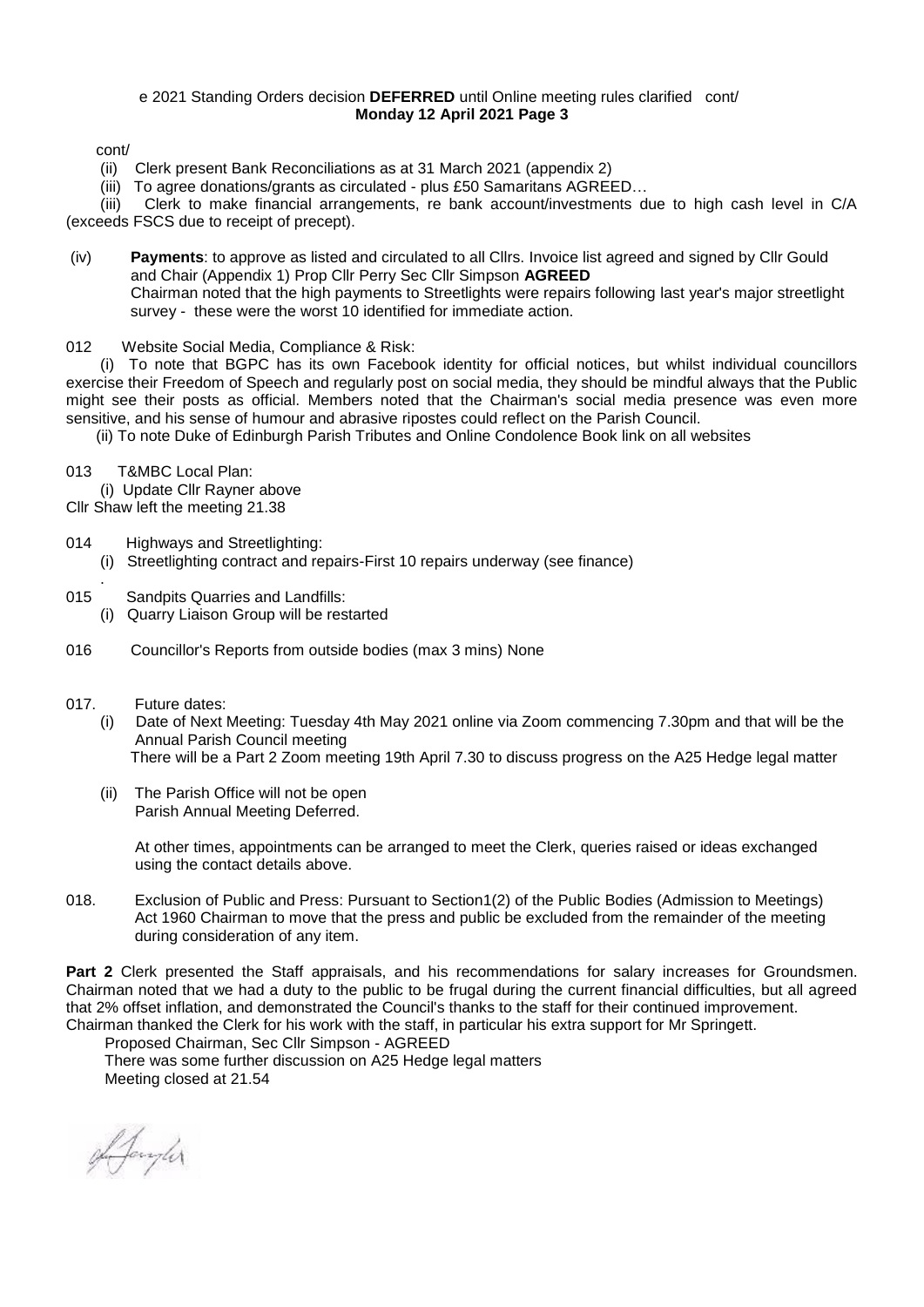#### e 2021 Standing Orders decision **DEFERRED** until Online meeting rules clarified cont/ **Monday 12 April 2021 Page 3**

cont/

(ii) Clerk present Bank Reconciliations as at 31 March 2021 (appendix 2)

(iii) To agree donations/grants as circulated - plus £50 Samaritans AGREED…

 (iii) Clerk to make financial arrangements, re bank account/investments due to high cash level in C/A (exceeds FSCS due to receipt of precept).

- (iv) **Payments**: to approve as listed and circulated to all Cllrs. Invoice list agreed and signed by Cllr Gould and Chair (Appendix 1) Prop Cllr Perry Sec Cllr Simpson **AGREED** Chairman noted that the high payments to Streetlights were repairs following last year's major streetlight survey - these were the worst 10 identified for immediate action.
- 012 Website Social Media, Compliance & Risk:

 (i) To note that BGPC has its own Facebook identity for official notices, but whilst individual councillors exercise their Freedom of Speech and regularly post on social media, they should be mindful always that the Public might see their posts as official. Members noted that the Chairman's social media presence was even more sensitive, and his sense of humour and abrasive ripostes could reflect on the Parish Council.

(ii) To note Duke of Edinburgh Parish Tributes and Online Condolence Book link on all websites

013 T&MBC Local Plan:

 (i) Update Cllr Rayner above Cllr Shaw left the meeting 21.38

- 014 Highways and Streetlighting:
	- (i) Streetlighting contract and repairs-First 10 repairs underway (see finance)
- . 015 Sandpits Quarries and Landfills:
	- (i) Quarry Liaison Group will be restarted
- 016 Councillor's Reports from outside bodies (max 3 mins) None
- 017. Future dates:
	- (i) Date of Next Meeting: Tuesday 4th May 2021 online via Zoom commencing 7.30pm and that will be the Annual Parish Council meeting There will be a Part 2 Zoom meeting 19th April 7.30 to discuss progress on the A25 Hedge legal matter
	- (ii) The Parish Office will not be open Parish Annual Meeting Deferred.

 At other times, appointments can be arranged to meet the Clerk, queries raised or ideas exchanged using the contact details above.

018. Exclusion of Public and Press: Pursuant to Section1(2) of the Public Bodies (Admission to Meetings) Act 1960 Chairman to move that the press and public be excluded from the remainder of the meeting during consideration of any item.

**Part 2** Clerk presented the Staff appraisals, and his recommendations for salary increases for Groundsmen. Chairman noted that we had a duty to the public to be frugal during the current financial difficulties, but all agreed that 2% offset inflation, and demonstrated the Council's thanks to the staff for their continued improvement. Chairman thanked the Clerk for his work with the staff, in particular his extra support for Mr Springett.

 Proposed Chairman, Sec Cllr Simpson - AGREED There was some further discussion on A25 Hedge legal matters Meeting closed at 21.54

Afangler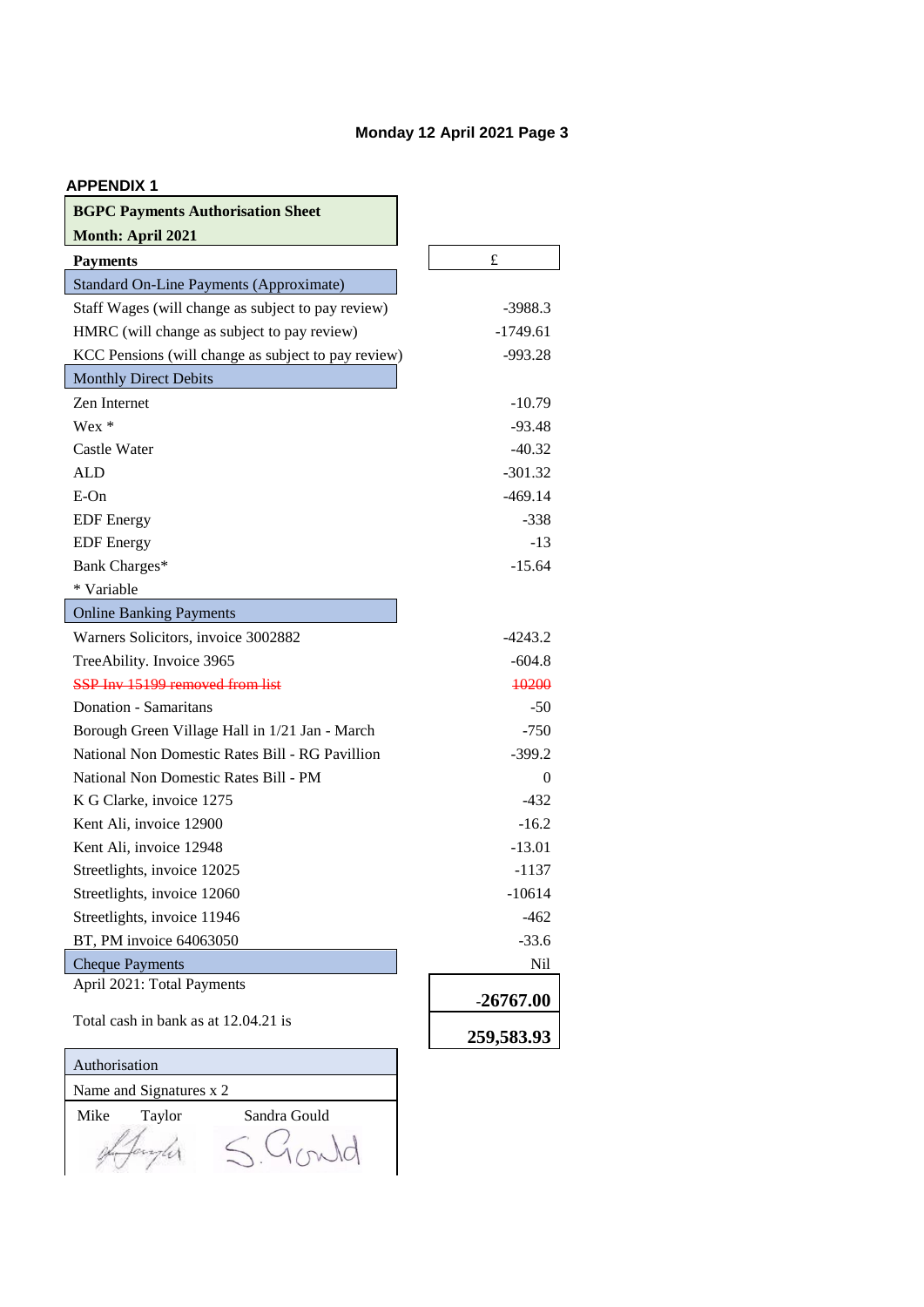# **Monday 12 April 2021 Page 3**

| <b>APPENDIX 1</b> |  |  |
|-------------------|--|--|
|-------------------|--|--|

| <b>BGPC Payments Authorisation Sheet</b>            |             |
|-----------------------------------------------------|-------------|
| Month: April 2021                                   |             |
| <b>Payments</b>                                     | $\pounds$   |
| <b>Standard On-Line Payments (Approximate)</b>      |             |
| Staff Wages (will change as subject to pay review)  | $-3988.3$   |
| HMRC (will change as subject to pay review)         | $-1749.61$  |
| KCC Pensions (will change as subject to pay review) | -993.28     |
| <b>Monthly Direct Debits</b>                        |             |
| Zen Internet                                        | $-10.79$    |
| $Wex *$                                             | $-93.48$    |
| Castle Water                                        | $-40.32$    |
| ALD                                                 | $-301.32$   |
| $E$ -On                                             | $-469.14$   |
| <b>EDF</b> Energy                                   | $-338$      |
| <b>EDF</b> Energy                                   | $-13$       |
| Bank Charges*                                       | $-15.64$    |
| * Variable                                          |             |
| <b>Online Banking Payments</b>                      |             |
| Warners Solicitors, invoice 3002882                 | $-4243.2$   |
| TreeAbility. Invoice 3965                           | $-604.8$    |
| SSP Inv 15199 removed from list                     | 10200       |
| Donation - Samaritans                               | $-50$       |
| Borough Green Village Hall in 1/21 Jan - March      | $-750$      |
| National Non Domestic Rates Bill - RG Pavillion     | $-399.2$    |
| National Non Domestic Rates Bill - PM               | 0           |
| K G Clarke, invoice 1275                            | $-432$      |
| Kent Ali, invoice 12900                             | $-16.2$     |
| Kent Ali, invoice 12948                             | $-13.01$    |
| Streetlights, invoice 12025                         | -1137       |
| Streetlights, invoice 12060                         | $-10614$    |
| Streetlights, invoice 11946                         | $-462$      |
| BT, PM invoice 64063050                             | $-33.6$     |
| <b>Cheque Payments</b>                              | Nil         |
| April 2021: Total Payments                          | $-26767.00$ |
| Total cash in bank as at 12.04.21 is                | 259,583.93  |
| Authorisation                                       |             |
| Name and Signatures x 2                             |             |

Mike Taylor Sandra Gould

da

Gonda  $S$